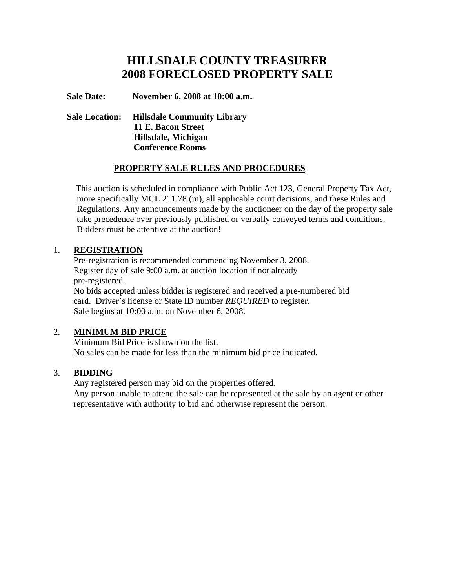# **HILLSDALE COUNTY TREASURER 2008 FORECLOSED PROPERTY SALE**

**Sale Date: November 6, 2008 at 10:00 a.m.** 

 **Sale Location: Hillsdale Community Library 11 E. Bacon Street Hillsdale, Michigan Conference Rooms** 

#### **PROPERTY SALE RULES AND PROCEDURES**

 This auction is scheduled in compliance with Public Act 123, General Property Tax Act, more specifically MCL 211.78 (m), all applicable court decisions, and these Rules and Regulations. Any announcements made by the auctioneer on the day of the property sale take precedence over previously published or verbally conveyed terms and conditions. Bidders must be attentive at the auction!

#### 1. **REGISTRATION**

 Pre-registration is recommended commencing November 3, 2008. Register day of sale 9:00 a.m. at auction location if not already pre-registered. No bids accepted unless bidder is registered and received a pre-numbered bid

 card. Driver's license or State ID number *REQUIRED* to register. Sale begins at 10:00 a.m. on November 6, 2008.

#### 2. **MINIMUM BID PRICE**

 Minimum Bid Price is shown on the list. No sales can be made for less than the minimum bid price indicated.

#### 3. **BIDDING**

 Any registered person may bid on the properties offered. Any person unable to attend the sale can be represented at the sale by an agent or other representative with authority to bid and otherwise represent the person.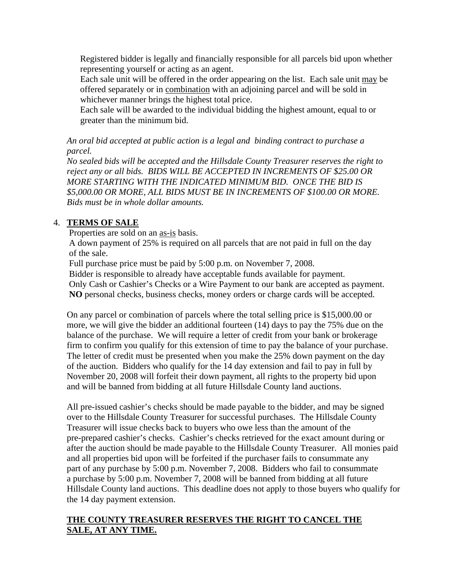Registered bidder is legally and financially responsible for all parcels bid upon whether representing yourself or acting as an agent.

 Each sale unit will be offered in the order appearing on the list. Each sale unit may be offered separately or in combination with an adjoining parcel and will be sold in whichever manner brings the highest total price.

 Each sale will be awarded to the individual bidding the highest amount, equal to or greater than the minimum bid.

*An oral bid accepted at public action is a legal and binding contract to purchase a parcel.* 

*No sealed bids will be accepted and the Hillsdale County Treasurer reserves the right to reject any or all bids. BIDS WILL BE ACCEPTED IN INCREMENTS OF \$25.00 OR MORE STARTING WITH THE INDICATED MINIMUM BID. ONCE THE BID IS \$5,000.00 OR MORE, ALL BIDS MUST BE IN INCREMENTS OF \$100.00 OR MORE. Bids must be in whole dollar amounts.*

# 4. **TERMS OF SALE**

Properties are sold on an as-is basis.

 A down payment of 25% is required on all parcels that are not paid in full on the day of the sale.

Full purchase price must be paid by 5:00 p.m. on November 7, 2008.

Bidder is responsible to already have acceptable funds available for payment.

 Only Cash or Cashier's Checks or a Wire Payment to our bank are accepted as payment. **NO** personal checks, business checks, money orders or charge cards will be accepted.

On any parcel or combination of parcels where the total selling price is \$15,000.00 or more, we will give the bidder an additional fourteen (14) days to pay the 75% due on the balance of the purchase. We will require a letter of credit from your bank or brokerage firm to confirm you qualify for this extension of time to pay the balance of your purchase. The letter of credit must be presented when you make the 25% down payment on the day of the auction. Bidders who qualify for the 14 day extension and fail to pay in full by November 20, 2008 will forfeit their down payment, all rights to the property bid upon and will be banned from bidding at all future Hillsdale County land auctions.

 All pre-issued cashier's checks should be made payable to the bidder, and may be signed over to the Hillsdale County Treasurer for successful purchases. The Hillsdale County Treasurer will issue checks back to buyers who owe less than the amount of the pre-prepared cashier's checks. Cashier's checks retrieved for the exact amount during or after the auction should be made payable to the Hillsdale County Treasurer. All monies paid and all properties bid upon will be forfeited if the purchaser fails to consummate any part of any purchase by 5:00 p.m. November 7, 2008. Bidders who fail to consummate a purchase by 5:00 p.m. November 7, 2008 will be banned from bidding at all future Hillsdale County land auctions. This deadline does not apply to those buyers who qualify for the 14 day payment extension.

## **THE COUNTY TREASURER RESERVES THE RIGHT TO CANCEL THE SALE, AT ANY TIME.**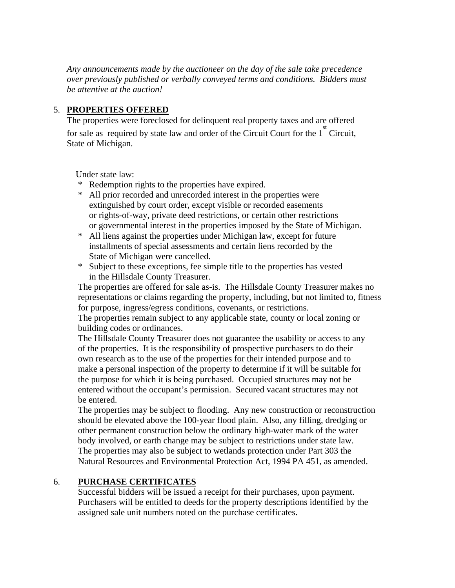*Any announcements made by the auctioneer on the day of the sale take precedence over previously published or verbally conveyed terms and conditions. Bidders must be attentive at the auction!* 

#### 5. **PROPERTIES OFFERED**

 The properties were foreclosed for delinquent real property taxes and are offered for sale as required by state law and order of the Circuit Court for the  $1<sup>st</sup>$  Circuit, State of Michigan.

Under state law:

- \* Redemption rights to the properties have expired.
- \* All prior recorded and unrecorded interest in the properties were extinguished by court order, except visible or recorded easements or rights-of-way, private deed restrictions, or certain other restrictions or governmental interest in the properties imposed by the State of Michigan.
- \* All liens against the properties under Michigan law, except for future installments of special assessments and certain liens recorded by the State of Michigan were cancelled.
- \* Subject to these exceptions, fee simple title to the properties has vested in the Hillsdale County Treasurer.

The properties are offered for sale as-is. The Hillsdale County Treasurer makes no representations or claims regarding the property, including, but not limited to, fitness for purpose, ingress/egress conditions, covenants, or restrictions.

The properties remain subject to any applicable state, county or local zoning or building codes or ordinances.

The Hillsdale County Treasurer does not guarantee the usability or access to any of the properties. It is the responsibility of prospective purchasers to do their own research as to the use of the properties for their intended purpose and to make a personal inspection of the property to determine if it will be suitable for the purpose for which it is being purchased. Occupied structures may not be entered without the occupant's permission. Secured vacant structures may not be entered.

The properties may be subject to flooding. Any new construction or reconstruction should be elevated above the 100-year flood plain. Also, any filling, dredging or other permanent construction below the ordinary high-water mark of the water body involved, or earth change may be subject to restrictions under state law. The properties may also be subject to wetlands protection under Part 303 the Natural Resources and Environmental Protection Act, 1994 PA 451, as amended.

#### 6. **PURCHASE CERTIFICATES**

 Successful bidders will be issued a receipt for their purchases, upon payment. Purchasers will be entitled to deeds for the property descriptions identified by the assigned sale unit numbers noted on the purchase certificates.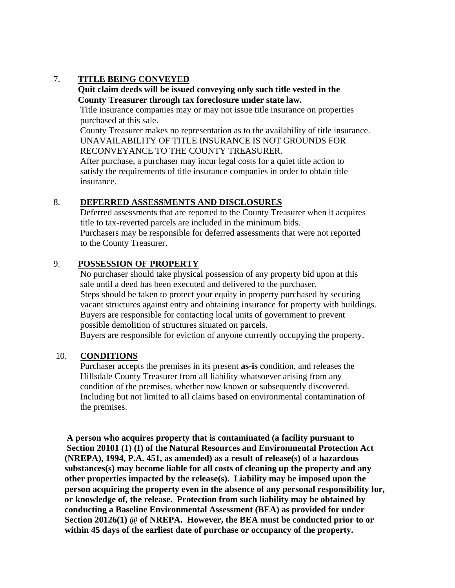## 7. **TITLE BEING CONVEYED**

#### **Quit claim deeds will be issued conveying only such title vested in the County Treasurer through tax foreclosure under state law.**

Title insurance companies may or may not issue title insurance on properties purchased at this sale.

 County Treasurer makes no representation as to the availability of title insurance. UNAVAILABILITY OF TITLE INSURANCE IS NOT GROUNDS FOR RECONVEYANCE TO THE COUNTY TREASURER.

 After purchase, a purchaser may incur legal costs for a quiet title action to satisfy the requirements of title insurance companies in order to obtain title insurance.

#### 8. **DEFERRED ASSESSMENTS AND DISCLOSURES**

 Deferred assessments that are reported to the County Treasurer when it acquires title to tax-reverted parcels are included in the minimum bids. Purchasers may be responsible for deferred assessments that were not reported to the County Treasurer.

#### 9. **POSSESSION OF PROPERTY**

 No purchaser should take physical possession of any property bid upon at this sale until a deed has been executed and delivered to the purchaser. Steps should be taken to protect your equity in property purchased by securing vacant structures against entry and obtaining insurance for property with buildings. Buyers are responsible for contacting local units of government to prevent possible demolition of structures situated on parcels. Buyers are responsible for eviction of anyone currently occupying the property.

# 10. **CONDITIONS**

 Purchaser accepts the premises in its present **as-is** condition, and releases the Hillsdale County Treasurer from all liability whatsoever arising from any condition of the premises, whether now known or subsequently discovered. Including but not limited to all claims based on environmental contamination of the premises.

 **A person who acquires property that is contaminated (a facility pursuant to Section 20101 (1) (I) of the Natural Resources and Environmental Protection Act (NREPA), 1994, P.A. 451, as amended) as a result of release(s) of a hazardous substances(s) may become liable for all costs of cleaning up the property and any other properties impacted by the release(s). Liability may be imposed upon the person acquiring the property even in the absence of any personal responsibility for, or knowledge of, the release. Protection from such liability may be obtained by conducting a Baseline Environmental Assessment (BEA) as provided for under Section 20126(1) @ of NREPA. However, the BEA must be conducted prior to or within 45 days of the earliest date of purchase or occupancy of the property.**